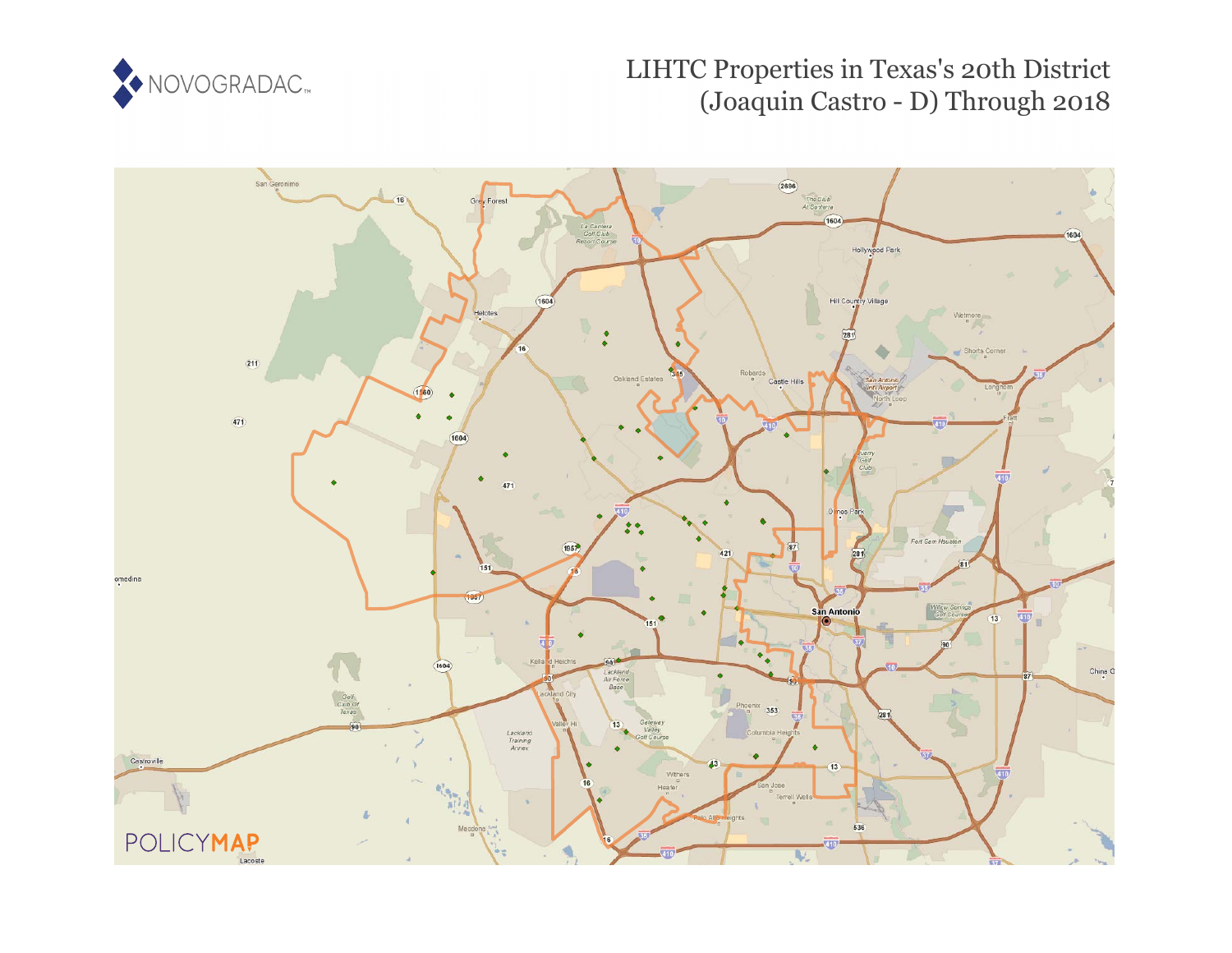

## LIHTC Properties in Texas's 20th District (Joaquin Castro - D) Through 2018

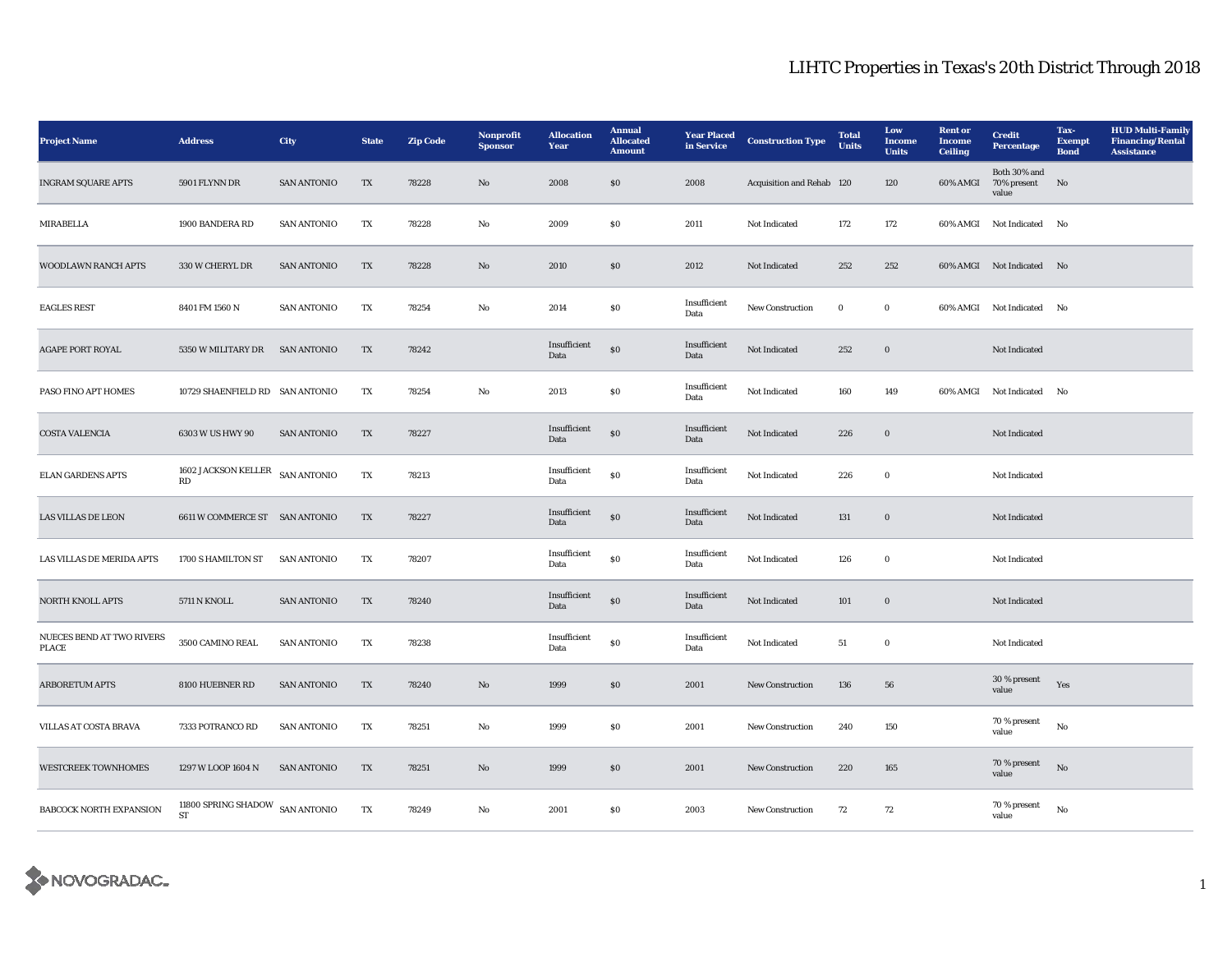## LIHTC Properties in Texas's 20th District Through 2018

| <b>Project Name</b>                | <b>Address</b>                                         | <b>City</b>        | <b>State</b> | <b>Zip Code</b> | Nonprofit<br><b>Sponsor</b> | <b>Allocation</b><br>Year | <b>Annual</b><br><b>Allocated</b><br><b>Amount</b> | <b>Year Placed</b><br>in Service | <b>Construction Type</b>  | <b>Total</b><br><b>Units</b> | Low<br><b>Income</b><br><b>Units</b> | <b>Rent</b> or<br><b>Income</b><br><b>Ceiling</b> | <b>Credit</b><br>Percentage          | Tax-<br><b>Exempt</b><br><b>Bond</b> | <b>HUD Multi-Family</b><br><b>Financing/Rental</b><br><b>Assistance</b> |
|------------------------------------|--------------------------------------------------------|--------------------|--------------|-----------------|-----------------------------|---------------------------|----------------------------------------------------|----------------------------------|---------------------------|------------------------------|--------------------------------------|---------------------------------------------------|--------------------------------------|--------------------------------------|-------------------------------------------------------------------------|
| <b>INGRAM SQUARE APTS</b>          | 5901 FLYNN DR                                          | <b>SAN ANTONIO</b> | TX           | 78228           | No                          | 2008                      | \$0\$                                              | 2008                             | Acquisition and Rehab 120 |                              | 120                                  | 60% AMGI                                          | Both 30% and<br>70% present<br>value | No                                   |                                                                         |
| MIRABELLA                          | 1900 BANDERA RD                                        | <b>SAN ANTONIO</b> | TX           | 78228           | No                          | 2009                      | SO.                                                | 2011                             | Not Indicated             | 172                          | 172                                  |                                                   | 60% AMGI Not Indicated No            |                                      |                                                                         |
| <b>WOODLAWN RANCH APTS</b>         | 330 W CHERYL DR                                        | <b>SAN ANTONIO</b> | TX           | 78228           | No                          | 2010                      | \$0\$                                              | 2012                             | Not Indicated             | 252                          | 252                                  |                                                   | 60% AMGI Not Indicated No            |                                      |                                                                         |
| <b>EAGLES REST</b>                 | 8401 FM 1560 N                                         | <b>SAN ANTONIO</b> | TX           | 78254           | No                          | 2014                      | <b>SO</b>                                          | Insufficient<br>Data             | New Construction          | $\bf{0}$                     | $\bf{0}$                             |                                                   | 60% AMGI Not Indicated               | No                                   |                                                                         |
| <b>AGAPE PORT ROYAL</b>            | 5350 W MILITARY DR                                     | <b>SAN ANTONIO</b> | TX           | 78242           |                             | Insufficient<br>Data      | $\$0$                                              | Insufficient<br>Data             | Not Indicated             | 252                          | $\boldsymbol{0}$                     |                                                   | Not Indicated                        |                                      |                                                                         |
| PASO FINO APT HOMES                | 10729 SHAENFIELD RD SAN ANTONIO                        |                    | TX           | 78254           | No                          | 2013                      | \$0                                                | Insufficient<br>Data             | Not Indicated             | 160                          | 149                                  |                                                   | 60% AMGI Not Indicated No            |                                      |                                                                         |
| <b>COSTA VALENCIA</b>              | 6303 W US HWY 90                                       | <b>SAN ANTONIO</b> | TX           | 78227           |                             | Insufficient<br>Data      | $\$0$                                              | Insufficient<br>Data             | Not Indicated             | 226                          | $\boldsymbol{0}$                     |                                                   | Not Indicated                        |                                      |                                                                         |
| <b>ELAN GARDENS APTS</b>           | 1602 JACKSON KELLER $$\rm{SAN\ ANTONIO}$$<br>RD        |                    | TX           | 78213           |                             | Insufficient<br>Data      | ${\bf S0}$                                         | Insufficient<br>Data             | Not Indicated             | 226                          | $\mathbf 0$                          |                                                   | Not Indicated                        |                                      |                                                                         |
| <b>LAS VILLAS DE LEON</b>          | 6611 W COMMERCE ST SAN ANTONIO                         |                    | TX           | 78227           |                             | Insufficient<br>Data      | ${\bf S0}$                                         | Insufficient<br>Data             | Not Indicated             | 131                          | $\boldsymbol{0}$                     |                                                   | Not Indicated                        |                                      |                                                                         |
| LAS VILLAS DE MERIDA APTS          | 1700 S HAMILTON ST                                     | <b>SAN ANTONIO</b> | TX           | 78207           |                             | Insufficient<br>Data      | ${\bf S0}$                                         | Insufficient<br>Data             | Not Indicated             | 126                          | $\bf{0}$                             |                                                   | Not Indicated                        |                                      |                                                                         |
| <b>NORTH KNOLL APTS</b>            | <b>5711 N KNOLL</b>                                    | <b>SAN ANTONIO</b> | TX           | 78240           |                             | Insufficient<br>Data      | $\$0$                                              | Insufficient<br>Data             | Not Indicated             | 101                          | $\mathbf 0$                          |                                                   | Not Indicated                        |                                      |                                                                         |
| NUECES BEND AT TWO RIVERS<br>PLACE | 3500 CAMINO REAL                                       | <b>SAN ANTONIO</b> | TX           | 78238           |                             | Insufficient<br>Data      | \$0                                                | Insufficient<br>Data             | Not Indicated             | 51                           | $\bf{0}$                             |                                                   | Not Indicated                        |                                      |                                                                         |
| <b>ARBORETUM APTS</b>              | 8100 HUEBNER RD                                        | <b>SAN ANTONIO</b> | TX           | 78240           | No                          | 1999                      | \$0\$                                              | 2001                             | <b>New Construction</b>   | 136                          | 56                                   |                                                   | 30 % present<br>value                | Yes                                  |                                                                         |
| VILLAS AT COSTA BRAVA              | 7333 POTRANCO RD                                       | <b>SAN ANTONIO</b> | TX           | 78251           | No                          | 1999                      | $\$0$                                              | 2001                             | New Construction          | 240                          | 150                                  |                                                   | 70 % present<br>value                | $\mathbf{No}$                        |                                                                         |
| <b>WESTCREEK TOWNHOMES</b>         | 1297 W LOOP 1604 N                                     | <b>SAN ANTONIO</b> | TX           | 78251           | No                          | 1999                      | \$0\$                                              | 2001                             | <b>New Construction</b>   | 220                          | 165                                  |                                                   | 70 % present<br>value                | No                                   |                                                                         |
| BABCOCK NORTH EXPANSION            | 11800 SPRING SHADOW $\,$ SAN ANTONIO $\,$<br><b>ST</b> |                    | TX           | 78249           | No                          | 2001                      | \$0                                                | 2003                             | <b>New Construction</b>   | 72                           | 72                                   |                                                   | 70 % present<br>value                | $\mathbf{No}$                        |                                                                         |

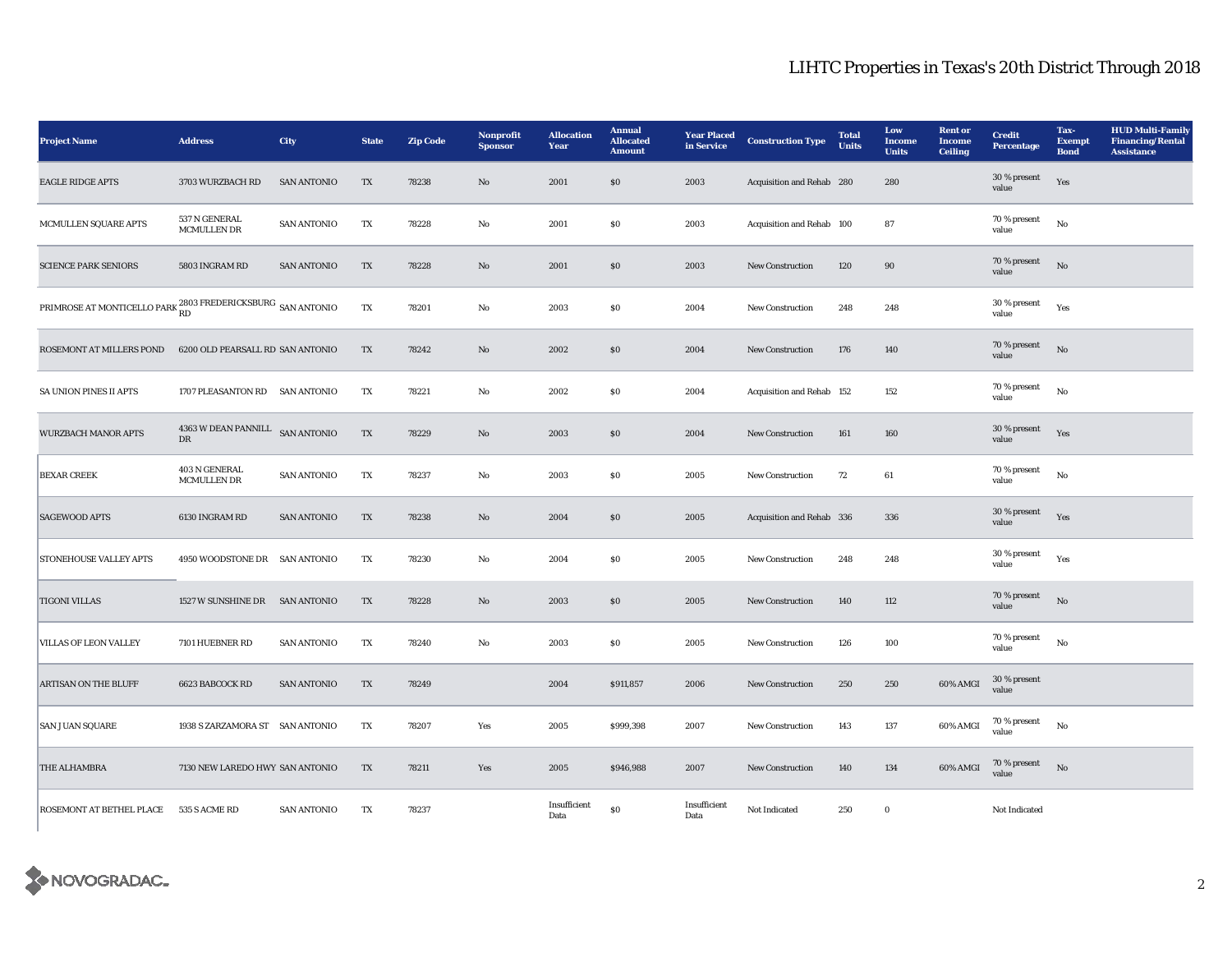## LIHTC Properties in Texas's 20th District Through 2018

| <b>Project Name</b>                                                            | <b>Address</b>                                    | <b>City</b>        | <b>State</b> | <b>Zip Code</b> | Nonprofit<br><b>Sponsor</b> | <b>Allocation</b><br>Year | <b>Annual</b><br><b>Allocated</b><br><b>Amount</b> | <b>Year Placed</b><br>in Service | <b>Construction Type</b>  | <b>Total</b><br><b>Units</b> | Low<br><b>Income</b><br><b>Units</b> | <b>Rent or</b><br><b>Income</b><br><b>Ceiling</b> | <b>Credit</b><br>Percentage | Tax-<br><b>Exempt</b><br><b>Bond</b> | <b>HUD Multi-Family</b><br><b>Financing/Rental</b><br><b>Assistance</b> |
|--------------------------------------------------------------------------------|---------------------------------------------------|--------------------|--------------|-----------------|-----------------------------|---------------------------|----------------------------------------------------|----------------------------------|---------------------------|------------------------------|--------------------------------------|---------------------------------------------------|-----------------------------|--------------------------------------|-------------------------------------------------------------------------|
| <b>EAGLE RIDGE APTS</b>                                                        | 3703 WURZBACH RD                                  | <b>SAN ANTONIO</b> | TX           | 78238           | $\mathbf{N}\mathbf{o}$      | 2001                      | $\$0$                                              | 2003                             | Acquisition and Rehab 280 |                              | 280                                  |                                                   | 30 % present<br>value       | Yes                                  |                                                                         |
| MCMULLEN SQUARE APTS                                                           | 537 N GENERAL<br>MCMULLEN DR                      | <b>SAN ANTONIO</b> | TX           | 78228           | No                          | 2001                      | $\$0$                                              | 2003                             | Acquisition and Rehab 100 |                              | 87                                   |                                                   | 70 % present<br>value       | $_{\rm No}$                          |                                                                         |
| <b>SCIENCE PARK SENIORS</b>                                                    | 5803 INGRAM RD                                    | <b>SAN ANTONIO</b> | TX           | 78228           | No                          | 2001                      | $\$0$                                              | 2003                             | <b>New Construction</b>   | 120                          | 90                                   |                                                   | 70 % present<br>value       | No                                   |                                                                         |
| PRIMROSE AT MONTICELLO PARK $_{\rm RD}^{2803}$ FREDERICKSBURG $\,$ SAN ANTONIO |                                                   |                    | TX           | 78201           | No                          | 2003                      | $\$0$                                              | 2004                             | <b>New Construction</b>   | 248                          | 248                                  |                                                   | 30 % present<br>value       | Yes                                  |                                                                         |
| ROSEMONT AT MILLERS POND                                                       | 6200 OLD PEARSALL RD SAN ANTONIO                  |                    | TX           | 78242           | $\mathbf{N}\mathbf{o}$      | 2002                      | \$0                                                | 2004                             | <b>New Construction</b>   | 176                          | 140                                  |                                                   | 70 % present<br>value       | $\rm No$                             |                                                                         |
| <b>SA UNION PINES II APTS</b>                                                  | 1707 PLEASANTON RD SAN ANTONIO                    |                    | TX           | 78221           | No                          | 2002                      | $\bf{S0}$                                          | 2004                             | Acquisition and Rehab 152 |                              | 152                                  |                                                   | 70 % present<br>value       | $_{\rm No}$                          |                                                                         |
| <b>WURZBACH MANOR APTS</b>                                                     | $4363$ W DEAN PANNILL $\;$ SAN ANTONIO $\;$<br>DR |                    | TX           | 78229           | $\mathbf{N}\mathbf{o}$      | 2003                      | SO                                                 | 2004                             | New Construction          | 161                          | 160                                  |                                                   | 30 % present<br>value       | Yes                                  |                                                                         |
| <b>BEXAR CREEK</b>                                                             | 403 N GENERAL<br>MCMULLEN DR                      | <b>SAN ANTONIO</b> | TX           | 78237           | No                          | 2003                      | $\$0$                                              | 2005                             | New Construction          | 72                           | $\bf{61}$                            |                                                   | 70 % present<br>value       | No                                   |                                                                         |
| <b>SAGEWOOD APTS</b>                                                           | 6130 INGRAM RD                                    | <b>SAN ANTONIO</b> | TX           | 78238           | No                          | 2004                      | \$0                                                | 2005                             | Acquisition and Rehab 336 |                              | 336                                  |                                                   | 30 % present<br>value       | Yes                                  |                                                                         |
| <b>STONEHOUSE VALLEY APTS</b>                                                  | 4950 WOODSTONE DR SAN ANTONIO                     |                    | TX           | 78230           | No                          | 2004                      | $\$0$                                              | 2005                             | New Construction          | 248                          | 248                                  |                                                   | 30 % present<br>value       | Yes                                  |                                                                         |
| <b>TIGONI VILLAS</b>                                                           | 1527 W SUNSHINE DR SAN ANTONIO                    |                    | TX           | 78228           | No                          | 2003                      | $\$0$                                              | 2005                             | New Construction          | 140                          | 112                                  |                                                   | 70 % present<br>value       | No                                   |                                                                         |
| <b>VILLAS OF LEON VALLEY</b>                                                   | 7101 HUEBNER RD                                   | <b>SAN ANTONIO</b> | TX           | 78240           | No                          | 2003                      | $\$0$                                              | 2005                             | New Construction          | 126                          | 100                                  |                                                   | 70 % present<br>value       | $_{\rm No}$                          |                                                                         |
| <b>ARTISAN ON THE BLUFF</b>                                                    | 6623 BABCOCK RD                                   | <b>SAN ANTONIO</b> | TX           | 78249           |                             | 2004                      | \$911,857                                          | 2006                             | <b>New Construction</b>   | 250                          | 250                                  | 60% AMGI                                          | 30 % present<br>value       |                                      |                                                                         |
| <b>SAN JUAN SQUARE</b>                                                         | 1938 S ZARZAMORA ST SAN ANTONIO                   |                    | TX           | 78207           | Yes                         | 2005                      | \$999,398                                          | 2007                             | New Construction          | 143                          | 137                                  | 60% AMGI                                          | 70 % present<br>value       | No                                   |                                                                         |
| <b>THE ALHAMBRA</b>                                                            | 7130 NEW LAREDO HWY SAN ANTONIO                   |                    | TX           | 78211           | Yes                         | 2005                      | \$946,988                                          | 2007                             | <b>New Construction</b>   | 140                          | 134                                  | 60% AMGI                                          | 70 % present<br>value       | No                                   |                                                                         |
| ROSEMONT AT BETHEL PLACE 535 S ACME RD                                         |                                                   | <b>SAN ANTONIO</b> | TX           | 78237           |                             | Insufficient<br>Data      | $\$0$                                              | Insufficient<br>Data             | Not Indicated             | 250                          | $\bf{0}$                             |                                                   | Not Indicated               |                                      |                                                                         |

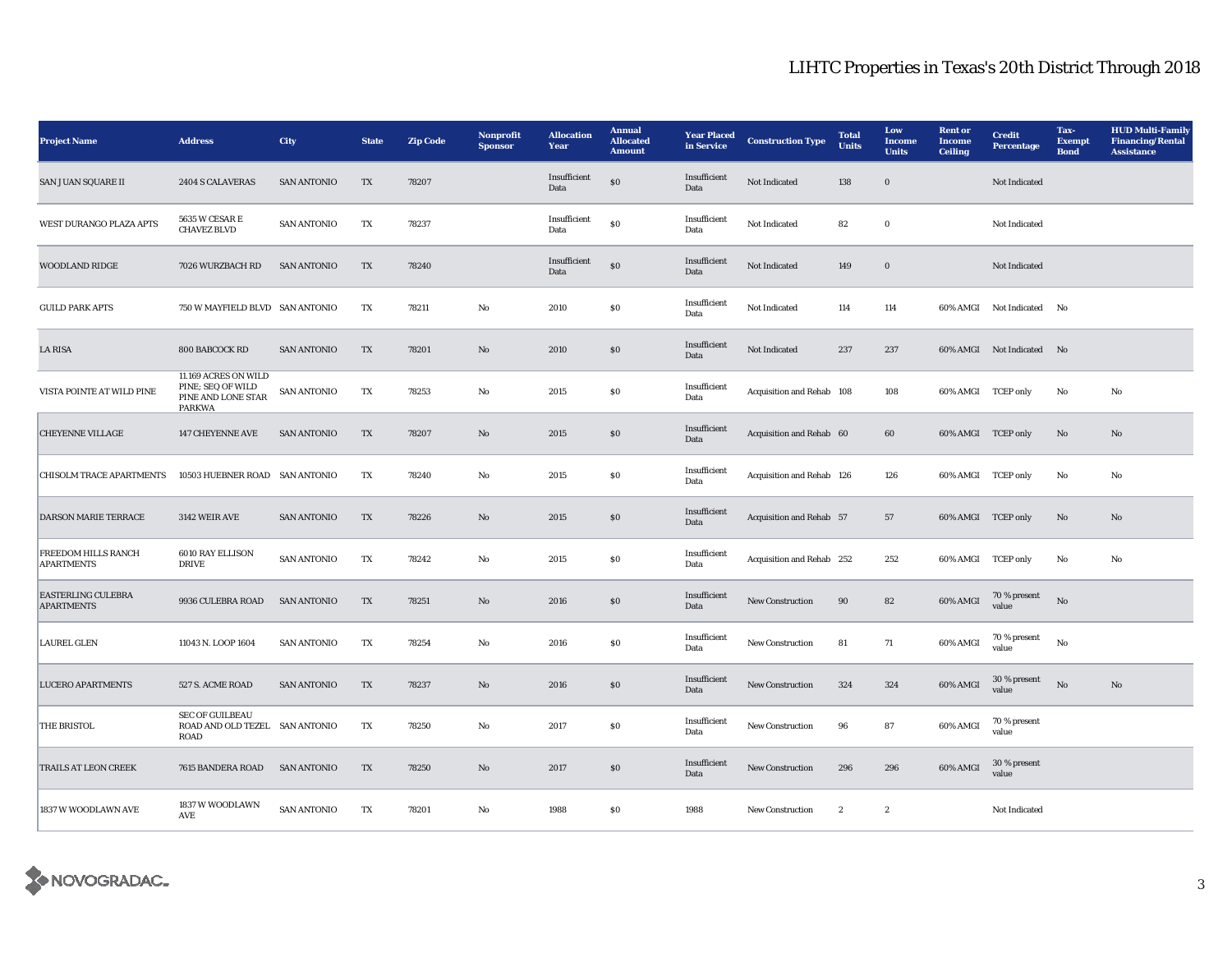## LIHTC Properties in Texas's 20th District Through 2018

| <b>Project Name</b>                            | <b>Address</b>                                                                   | <b>City</b>        | <b>State</b> | <b>Zip Code</b> | Nonprofit<br><b>Sponsor</b> | <b>Allocation</b><br>Year | <b>Annual</b><br><b>Allocated</b><br><b>Amount</b> | <b>Year Placed</b><br>in Service | <b>Construction Type</b>  | <b>Total</b><br><b>Units</b> | Low<br><b>Income</b><br><b>Units</b> | <b>Rent</b> or<br><b>Income</b><br><b>Ceiling</b> | <b>Credit</b><br>Percentage | Tax-<br><b>Exempt</b><br><b>Bond</b> | <b>HUD Multi-Family</b><br><b>Financing/Rental</b><br><b>Assistance</b> |
|------------------------------------------------|----------------------------------------------------------------------------------|--------------------|--------------|-----------------|-----------------------------|---------------------------|----------------------------------------------------|----------------------------------|---------------------------|------------------------------|--------------------------------------|---------------------------------------------------|-----------------------------|--------------------------------------|-------------------------------------------------------------------------|
| SAN JUAN SQUARE II                             | 2404 S CALAVERAS                                                                 | <b>SAN ANTONIO</b> | TX           | 78207           |                             | Insufficient<br>Data      | $\$0$                                              | Insufficient<br>Data             | Not Indicated             | 138                          | $\boldsymbol{0}$                     |                                                   | Not Indicated               |                                      |                                                                         |
| WEST DURANGO PLAZA APTS                        | 5635 W CESAR E<br><b>CHAVEZ BLVD</b>                                             | <b>SAN ANTONIO</b> | TX           | 78237           |                             | Insufficient<br>Data      | \$0                                                | Insufficient<br>Data             | Not Indicated             | 82                           | $\bf{0}$                             |                                                   | Not Indicated               |                                      |                                                                         |
| WOODLAND RIDGE                                 | 7026 WURZBACH RD                                                                 | <b>SAN ANTONIO</b> | TX           | 78240           |                             | Insufficient<br>Data      | \$0                                                | Insufficient<br>Data             | Not Indicated             | 149                          | $\boldsymbol{0}$                     |                                                   | Not Indicated               |                                      |                                                                         |
| <b>GUILD PARK APTS</b>                         | 750 W MAYFIELD BLVD SAN ANTONIO                                                  |                    | TX           | 78211           | No                          | 2010                      | \$0                                                | Insufficient<br>Data             | Not Indicated             | 114                          | 114                                  |                                                   | 60% AMGI Not Indicated      | No                                   |                                                                         |
| <b>LA RISA</b>                                 | <b>800 BABCOCK RD</b>                                                            | <b>SAN ANTONIO</b> | TX           | 78201           | No                          | 2010                      | \$0\$                                              | Insufficient<br>Data             | Not Indicated             | 237                          | 237                                  |                                                   | 60% AMGI Not Indicated No   |                                      |                                                                         |
| VISTA POINTE AT WILD PINE                      | 11.169 ACRES ON WILD<br>PINE; SEQ OF WILD<br>PINE AND LONE STAR<br><b>PARKWA</b> | <b>SAN ANTONIO</b> | TX           | 78253           | No                          | 2015                      | S <sub>0</sub>                                     | Insufficient<br>Data             | Acquisition and Rehab 108 |                              | 108                                  |                                                   | 60% AMGI TCEP only          | No                                   | No                                                                      |
| <b>CHEYENNE VILLAGE</b>                        | 147 CHEYENNE AVE                                                                 | <b>SAN ANTONIO</b> | TX           | 78207           | No                          | 2015                      | \$0\$                                              | Insufficient<br>Data             | Acquisition and Rehab 60  |                              | 60                                   |                                                   | 60% AMGI TCEP only          | No                                   | No                                                                      |
| <b>CHISOLM TRACE APARTMENTS</b>                | 10503 HUEBNER ROAD SAN ANTONIO                                                   |                    | TX           | 78240           | No                          | 2015                      | \$0                                                | Insufficient<br>Data             | Acquisition and Rehab 126 |                              | 126                                  |                                                   | 60% AMGI TCEP only          | No                                   | No                                                                      |
| DARSON MARIE TERRACE                           | 3142 WEIR AVE                                                                    | <b>SAN ANTONIO</b> | TX           | 78226           | No                          | 2015                      | \$0\$                                              | Insufficient<br>Data             | Acquisition and Rehab 57  |                              | 57                                   | 60% AMGI TCEP only                                |                             | No                                   | No                                                                      |
| FREEDOM HILLS RANCH<br><b>APARTMENTS</b>       | <b>6010 RAY ELLISON</b><br><b>DRIVE</b>                                          | <b>SAN ANTONIO</b> | TX           | 78242           | No                          | 2015                      | \$0                                                | Insufficient<br>Data             | Acquisition and Rehab 252 |                              | 252                                  |                                                   | 60% AMGI TCEP only          | No                                   | No                                                                      |
| <b>EASTERLING CULEBRA</b><br><b>APARTMENTS</b> | 9936 CULEBRA ROAD                                                                | <b>SAN ANTONIO</b> | TX           | 78251           | No                          | 2016                      | \$0                                                | Insufficient<br>Data             | <b>New Construction</b>   | 90                           | 82                                   | 60% AMGI                                          | 70 % present<br>value       | No                                   |                                                                         |
| <b>LAUREL GLEN</b>                             | 11043 N. LOOP 1604                                                               | <b>SAN ANTONIO</b> | TX           | 78254           | No                          | 2016                      | $\$0$                                              | Insufficient<br>Data             | New Construction          | 81                           | 71                                   | 60% AMGI                                          | 70 % present<br>value       | No                                   |                                                                         |
| <b>LUCERO APARTMENTS</b>                       | 527 S. ACME ROAD                                                                 | <b>SAN ANTONIO</b> | TX           | 78237           | No                          | 2016                      | \$0\$                                              | Insufficient<br>Data             | New Construction          | 324                          | 324                                  | 60% AMGI                                          | $30$ % present<br>value     | No                                   | $\rm No$                                                                |
| THE BRISTOL                                    | <b>SEC OF GUILBEAU</b><br>ROAD AND OLD TEZEL SAN ANTONIO<br><b>ROAD</b>          |                    | TX           | 78250           | No                          | 2017                      | \$0                                                | Insufficient<br>Data             | <b>New Construction</b>   | 96                           | 87                                   | 60% AMGI                                          | 70 % present<br>value       |                                      |                                                                         |
| <b>TRAILS AT LEON CREEK</b>                    | <b>7615 BANDERA ROAD</b>                                                         | <b>SAN ANTONIO</b> | TX           | 78250           | No                          | 2017                      | \$0\$                                              | Insufficient<br>Data             | New Construction          | 296                          | 296                                  | 60% AMGI                                          | 30 % present<br>value       |                                      |                                                                         |
| 1837 W WOODLAWN AVE                            | 1837 W WOODLAWN<br>AVE                                                           | <b>SAN ANTONIO</b> | TX           | 78201           | No                          | 1988                      | SO.                                                | 1988                             | New Construction          | $\boldsymbol{2}$             | $\boldsymbol{2}$                     |                                                   | Not Indicated               |                                      |                                                                         |